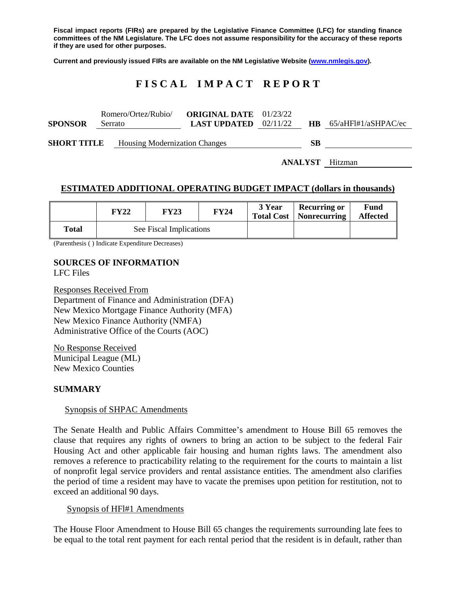**Fiscal impact reports (FIRs) are prepared by the Legislative Finance Committee (LFC) for standing finance committees of the NM Legislature. The LFC does not assume responsibility for the accuracy of these reports if they are used for other purposes.**

**Current and previously issued FIRs are available on the NM Legislative Website [\(www.nmlegis.gov\)](http://www.nmlegis.gov/).**

## **F I S C A L I M P A C T R E P O R T**

| <b>SPONSOR</b>                                             | Romero/Ortez/Rubio/<br>Serrato |  | <b>ORIGINAL DATE</b> 01/23/22<br><b>LAST UPDATED</b> $02/11/22$ |           | $HB$ 65/aHFl#1/aSHPAC/ec |
|------------------------------------------------------------|--------------------------------|--|-----------------------------------------------------------------|-----------|--------------------------|
| <b>SHORT TITLE</b><br><b>Housing Modernization Changes</b> |                                |  |                                                                 | <b>SB</b> |                          |

**ANALYST** Hitzman

#### **ESTIMATED ADDITIONAL OPERATING BUDGET IMPACT (dollars in thousands)**

|              | <b>FY22</b> | FY23                    | <b>FY24</b> | 3 Year | <b>Recurring or</b><br>Total Cost   Nonrecurring | Fund<br><b>Affected</b> |
|--------------|-------------|-------------------------|-------------|--------|--------------------------------------------------|-------------------------|
| <b>Total</b> |             | See Fiscal Implications |             |        |                                                  |                         |

(Parenthesis ( ) Indicate Expenditure Decreases)

# **SOURCES OF INFORMATION**

LFC Files

Responses Received From Department of Finance and Administration (DFA) New Mexico Mortgage Finance Authority (MFA) New Mexico Finance Authority (NMFA) Administrative Office of the Courts (AOC)

No Response Received Municipal League (ML) New Mexico Counties

### **SUMMARY**

#### Synopsis of SHPAC Amendments

The Senate Health and Public Affairs Committee's amendment to House Bill 65 removes the clause that requires any rights of owners to bring an action to be subject to the federal Fair Housing Act and other applicable fair housing and human rights laws. The amendment also removes a reference to practicability relating to the requirement for the courts to maintain a list of nonprofit legal service providers and rental assistance entities. The amendment also clarifies the period of time a resident may have to vacate the premises upon petition for restitution, not to exceed an additional 90 days.

#### Synopsis of HFl#1 Amendments

The House Floor Amendment to House Bill 65 changes the requirements surrounding late fees to be equal to the total rent payment for each rental period that the resident is in default, rather than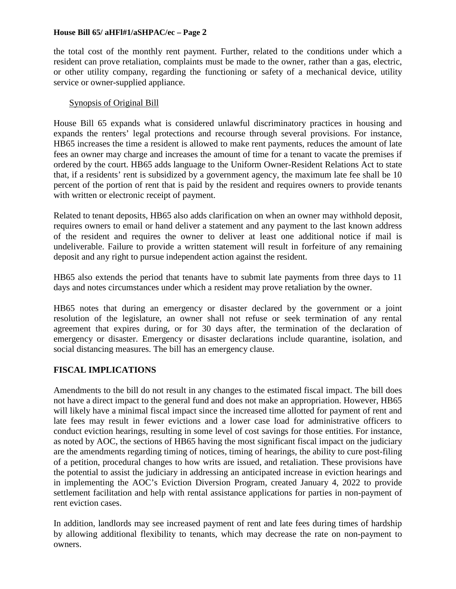#### **House Bill 65/ aHFl#1/aSHPAC/ec – Page 2**

the total cost of the monthly rent payment. Further, related to the conditions under which a resident can prove retaliation, complaints must be made to the owner, rather than a gas, electric, or other utility company, regarding the functioning or safety of a mechanical device, utility service or owner-supplied appliance.

#### Synopsis of Original Bill

House Bill 65 expands what is considered unlawful discriminatory practices in housing and expands the renters' legal protections and recourse through several provisions. For instance, HB65 increases the time a resident is allowed to make rent payments, reduces the amount of late fees an owner may charge and increases the amount of time for a tenant to vacate the premises if ordered by the court. HB65 adds language to the Uniform Owner-Resident Relations Act to state that, if a residents' rent is subsidized by a government agency, the maximum late fee shall be 10 percent of the portion of rent that is paid by the resident and requires owners to provide tenants with written or electronic receipt of payment.

Related to tenant deposits, HB65 also adds clarification on when an owner may withhold deposit, requires owners to email or hand deliver a statement and any payment to the last known address of the resident and requires the owner to deliver at least one additional notice if mail is undeliverable. Failure to provide a written statement will result in forfeiture of any remaining deposit and any right to pursue independent action against the resident.

HB65 also extends the period that tenants have to submit late payments from three days to 11 days and notes circumstances under which a resident may prove retaliation by the owner.

HB65 notes that during an emergency or disaster declared by the government or a joint resolution of the legislature, an owner shall not refuse or seek termination of any rental agreement that expires during, or for 30 days after, the termination of the declaration of emergency or disaster. Emergency or disaster declarations include quarantine, isolation, and social distancing measures. The bill has an emergency clause.

### **FISCAL IMPLICATIONS**

Amendments to the bill do not result in any changes to the estimated fiscal impact. The bill does not have a direct impact to the general fund and does not make an appropriation. However, HB65 will likely have a minimal fiscal impact since the increased time allotted for payment of rent and late fees may result in fewer evictions and a lower case load for administrative officers to conduct eviction hearings, resulting in some level of cost savings for those entities. For instance, as noted by AOC, the sections of HB65 having the most significant fiscal impact on the judiciary are the amendments regarding timing of notices, timing of hearings, the ability to cure post-filing of a petition, procedural changes to how writs are issued, and retaliation. These provisions have the potential to assist the judiciary in addressing an anticipated increase in eviction hearings and in implementing the AOC's Eviction Diversion Program, created January 4, 2022 to provide settlement facilitation and help with rental assistance applications for parties in non-payment of rent eviction cases.

In addition, landlords may see increased payment of rent and late fees during times of hardship by allowing additional flexibility to tenants, which may decrease the rate on non-payment to owners.